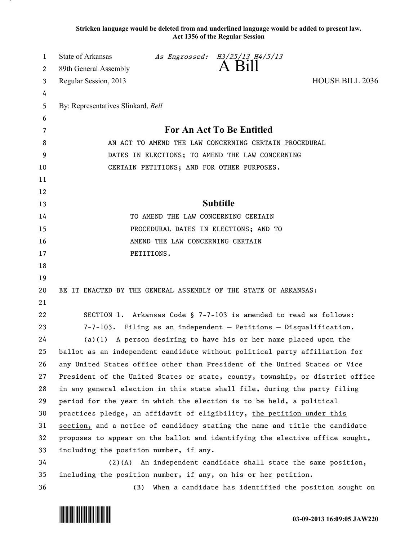**Stricken language would be deleted from and underlined language would be added to present law. Act 1356 of the Regular Session**

| 1  | <b>State of Arkansas</b>                                                      |            | As Engrossed: H3/25/13 H4/5/13 |                                                            |  |
|----|-------------------------------------------------------------------------------|------------|--------------------------------|------------------------------------------------------------|--|
| 2  | 89th General Assembly                                                         |            | A Bill                         |                                                            |  |
| 3  | Regular Session, 2013                                                         |            |                                | <b>HOUSE BILL 2036</b>                                     |  |
| 4  |                                                                               |            |                                |                                                            |  |
| 5  | By: Representatives Slinkard, Bell                                            |            |                                |                                                            |  |
| 6  |                                                                               |            |                                |                                                            |  |
| 7  | For An Act To Be Entitled                                                     |            |                                |                                                            |  |
| 8  | AN ACT TO AMEND THE LAW CONCERNING CERTAIN PROCEDURAL                         |            |                                |                                                            |  |
| 9  | DATES IN ELECTIONS; TO AMEND THE LAW CONCERNING                               |            |                                |                                                            |  |
| 10 | CERTAIN PETITIONS; AND FOR OTHER PURPOSES.                                    |            |                                |                                                            |  |
| 11 |                                                                               |            |                                |                                                            |  |
| 12 |                                                                               |            |                                |                                                            |  |
| 13 | <b>Subtitle</b>                                                               |            |                                |                                                            |  |
| 14 | TO AMEND THE LAW CONCERNING CERTAIN                                           |            |                                |                                                            |  |
| 15 | PROCEDURAL DATES IN ELECTIONS; AND TO                                         |            |                                |                                                            |  |
| 16 | AMEND THE LAW CONCERNING CERTAIN                                              |            |                                |                                                            |  |
| 17 |                                                                               | PETITIONS. |                                |                                                            |  |
| 18 |                                                                               |            |                                |                                                            |  |
| 19 |                                                                               |            |                                |                                                            |  |
| 20 | BE IT ENACTED BY THE GENERAL ASSEMBLY OF THE STATE OF ARKANSAS:               |            |                                |                                                            |  |
| 21 |                                                                               |            |                                |                                                            |  |
| 22 | SECTION 1. Arkansas Code § 7-7-103 is amended to read as follows:             |            |                                |                                                            |  |
| 23 | 7-7-103. Filing as an independent - Petitions - Disqualification.             |            |                                |                                                            |  |
| 24 | $(a)(1)$ A person desiring to have his or her name placed upon the            |            |                                |                                                            |  |
| 25 | ballot as an independent candidate without political party affiliation for    |            |                                |                                                            |  |
| 26 | any United States office other than President of the United States or Vice    |            |                                |                                                            |  |
| 27 | President of the United States or state, county, township, or district office |            |                                |                                                            |  |
| 28 | in any general election in this state shall file, during the party filing     |            |                                |                                                            |  |
| 29 | period for the year in which the election is to be held, a political          |            |                                |                                                            |  |
| 30 | practices pledge, an affidavit of eligibility, the petition under this        |            |                                |                                                            |  |
| 31 | section, and a notice of candidacy stating the name and title the candidate   |            |                                |                                                            |  |
| 32 | proposes to appear on the ballot and identifying the elective office sought,  |            |                                |                                                            |  |
| 33 | including the position number, if any.                                        |            |                                |                                                            |  |
| 34 | $(2)(A)$ An independent candidate shall state the same position,              |            |                                |                                                            |  |
| 35 | including the position number, if any, on his or her petition.                |            |                                |                                                            |  |
| 36 |                                                                               |            |                                | (B) When a candidate has identified the position sought on |  |

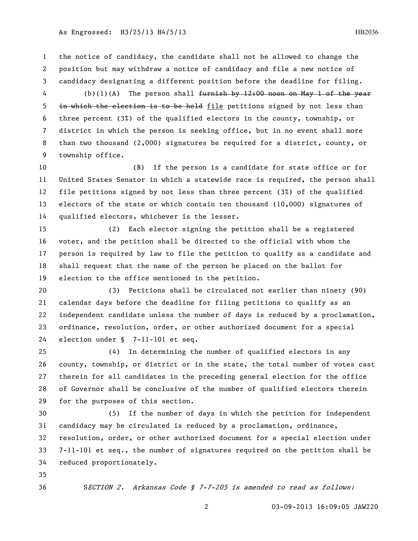## As Engrossed: H3/25/13 H4/5/13 http://www.engrossed. HB2036

 the notice of candidacy, the candidate shall not be allowed to change the position but may withdraw a notice of candidacy and file a new notice of candidacy designating a different position before the deadline for filing.

4 (b)(1)(A) The person shall <del>furnish by 12:00 noon on May 1 of the year</del> 5 in which the election is to be held file petitions signed by not less than three percent (3%) of the qualified electors in the county, township, or district in which the person is seeking office, but in no event shall more than two thousand (2,000) signatures be required for a district, county, or township office.

 (B) If the person is a candidate for state office or for United States Senator in which a statewide race is required, the person shall file petitions signed by not less than three percent (3%) of the qualified electors of the state or which contain ten thousand (10,000) signatures of qualified electors, whichever is the lesser.

 (2) Each elector signing the petition shall be a registered voter, and the petition shall be directed to the official with whom the person is required by law to file the petition to qualify as a candidate and shall request that the name of the person be placed on the ballot for election to the office mentioned in the petition.

 (3) Petitions shall be circulated not earlier than ninety (90) calendar days before the deadline for filing petitions to qualify as an independent candidate unless the number of days is reduced by a proclamation, ordinance, resolution, order, or other authorized document for a special election under § 7-11-101 et seq.

 (4) In determining the number of qualified electors in any county, township, or district or in the state, the total number of votes cast therein for all candidates in the preceding general election for the office of Governor shall be conclusive of the number of qualified electors therein for the purposes of this section.

 (5) If the number of days in which the petition for independent candidacy may be circulated is reduced by a proclamation, ordinance, resolution, order, or other authorized document for a special election under 7-11-101 et seq., the number of signatures required on the petition shall be reduced proportionately.

SECTION 2. Arkansas Code § 7-7-205 is amended to read as follows: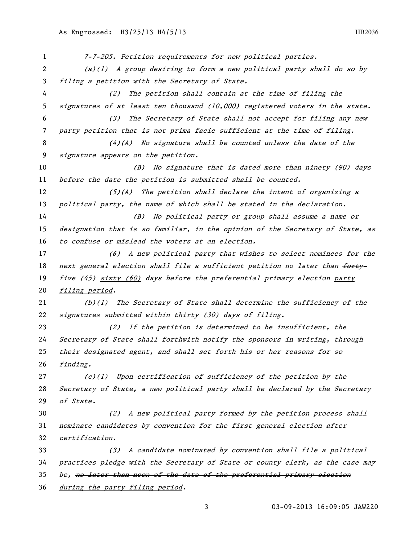7-7-205. Petition requirements for new political parties. (a)(1) A group desiring to form a new political party shall do so by filing a petition with the Secretary of State. (2) The petition shall contain at the time of filing the signatures of at least ten thousand (10,000) registered voters in the state. (3) The Secretary of State shall not accept for filing any new party petition that is not prima facie sufficient at the time of filing. (4)(A) No signature shall be counted unless the date of the signature appears on the petition. (B) No signature that is dated more than ninety (90) days 11 before the date the petition is submitted shall be counted. (5)(A) The petition shall declare the intent of organizing a 13 political party, the name of which shall be stated in the declaration. (B) No political party or group shall assume a name or designation that is so familiar, in the opinion of the Secretary of State, as to confuse or mislead the voters at an election. (6) A new political party that wishes to select nominees for the 18 next general election shall file a sufficient petition no later than forty-19 five (45) sixty (60) days before the preferential primary election party filing period. (b)(1) The Secretary of State shall determine the sufficiency of the signatures submitted within thirty (30) days of filing. (2) If the petition is determined to be insufficient, the Secretary of State shall forthwith notify the sponsors in writing, through their designated agent, and shall set forth his or her reasons for so finding. (c)(1) Upon certification of sufficiency of the petition by the Secretary of State, a new political party shall be declared by the Secretary of State. (2) A new political party formed by the petition process shall nominate candidates by convention for the first general election after certification. (3) A candidate nominated by convention shall file a political practices pledge with the Secretary of State or county clerk, as the case may 35 be, no later than noon of the date of the preferential primary election during the party filing period.

03-09-2013 16:09:05 JAW220